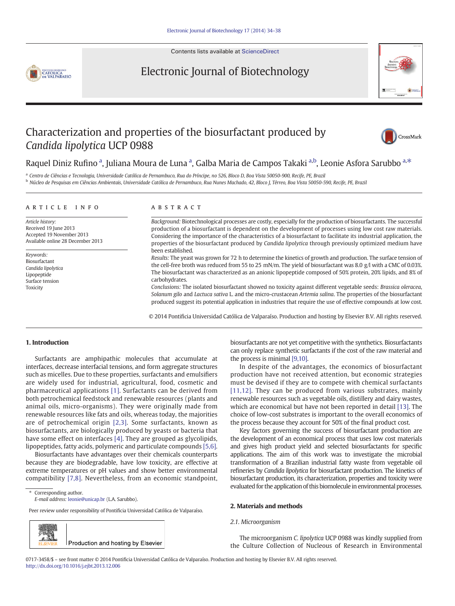Contents lists available at [ScienceDirect](http://www.sciencedirect.com/science/journal/)

# **CATOLICA**<br>DE VALPARAISO





## Characterization and properties of the biosurfactant produced by Candida lipolytica UCP 0988



### Raquel Diniz Rufino <sup>a</sup>, Juliana Moura de Luna <sup>a</sup>, Galba Maria de Campos Takaki <sup>a,b</sup>, Leonie Asfora Sarubbo <sup>a,\*</sup>

<sup>a</sup> Centro de Ciências e Tecnologia, Universidade Católica de Pernambuco, Rua do Príncipe, no 526, Bloco D, Boa Vista 50050-900, Recife, PE, Brazil

<sup>b</sup> Núcleo de Pesquisas em Ciências Ambientais, Universidade Católica de Pernambuco, Rua Nunes Machado, 42, Bloco J, Térreo, Boa Vista 50050-590, Recife, PE, Brazil

#### ARTICLE INFO ABSTRACT

Article history: Received 19 June 2013 Accepted 19 November 2013 Available online 28 December 2013

Keywords: Biosurfactant Candida lipolytica Lipopeptide Surface tension Toxicity

Background: Biotechnological processes are costly, especially for the production of biosurfactants. The successful production of a biosurfactant is dependent on the development of processes using low cost raw materials. Considering the importance of the characteristics of a biosurfactant to facilitate its industrial application, the properties of the biosurfactant produced by Candida lipolytica through previously optimized medium have been established.

Results: The yeast was grown for 72 h to determine the kinetics of growth and production. The surface tension of the cell-free broth was reduced from 55 to 25 mN/m. The yield of biosurfactant was 8.0 g/l with a CMC of 0.03%. The biosurfactant was characterized as an anionic lipopeptide composed of 50% protein, 20% lipids, and 8% of carbohydrates.

Conclusions: The isolated biosurfactant showed no toxicity against different vegetable seeds: Brassica oleracea, Solanum gilo and Lactuca sativa L. and the micro-crustacean Artemia salina. The properties of the biosurfactant produced suggest its potential application in industries that require the use of effective compounds at low cost.

© 2014 Pontificia Universidad Católica de Valparaíso. Production and hosting by Elsevier B.V. All rights reserved.

#### 1. Introduction

Surfactants are amphipathic molecules that accumulate at interfaces, decrease interfacial tensions, and form aggregate structures such as micelles. Due to these properties, surfactants and emulsifiers are widely used for industrial, agricultural, food, cosmetic and pharmaceutical applications [\[1\]](#page-3-0). Surfactants can be derived from both petrochemical feedstock and renewable resources (plants and animal oils, micro-organisms). They were originally made from renewable resources like fats and oils, whereas today, the majorities are of petrochemical origin [\[2,3\].](#page-3-0) Some surfactants, known as biosurfactants, are biologically produced by yeasts or bacteria that have some effect on interfaces [\[4\]](#page-4-0). They are grouped as glycolipids, lipopeptides, fatty acids, polymeric and particulate compounds [\[5,6\].](#page-4-0)

Biosurfactants have advantages over their chemicals counterparts because they are biodegradable, have low toxicity, are effective at extreme temperatures or pH values and show better environmental compatibility [\[7,8\]](#page-4-0). Nevertheless, from an economic standpoint,

Corresponding author.

E-mail address: [leonie@unicap.br](mailto:leonie@unicap.br) (L.A. Sarubbo).

Peer review under responsibility of Pontificia Universidad Católica de Valparaíso.



biosurfactants are not yet competitive with the synthetics. Biosurfactants can only replace synthetic surfactants if the cost of the raw material and the process is minimal [\[9,10\]](#page-4-0).

In despite of the advantages, the economics of biosurfactant production have not received attention, but economic strategies must be devised if they are to compete with chemical surfactants [\[11,12\]](#page-4-0). They can be produced from various substrates, mainly renewable resources such as vegetable oils, distillery and dairy wastes, which are economical but have not been reported in detail [\[13\]](#page-4-0). The choice of low-cost substrates is important to the overall economics of the process because they account for 50% of the final product cost.

Key factors governing the success of biosurfactant production are the development of an economical process that uses low cost materials and gives high product yield and selected biosurfactants for specific applications. The aim of this work was to investigate the microbial transformation of a Brazilian industrial fatty waste from vegetable oil refineries by Candida lipolytica for biosurfactant production. The kinetics of biosurfactant production, its characterization, properties and toxicity were evaluated for the application of this biomolecule in environmental processes.

#### 2. Materials and methods

#### 2.1. Microorganism

The microorganism C. lipolytica UCP 0988 was kindly supplied from the Culture Collection of Nucleous of Research in Environmental

0717-3458/\$ – see front matter © 2014 Pontificia Universidad Católica de Valparaíso. Production and hosting by Elsevier B.V. All rights reserved. <http://dx.doi.org/10.1016/j.ejbt.2013.12.006>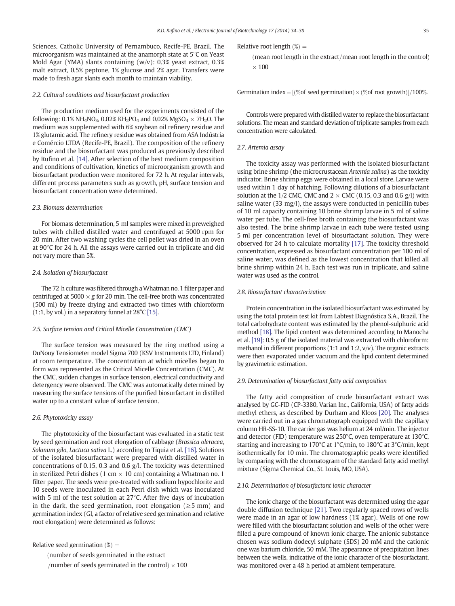Sciences, Catholic University of Pernambuco, Recife-PE, Brazil. The microorganism was maintained at the anamorph state at 5°C on Yeast Mold Agar (YMA) slants containing (w/v): 0.3% yeast extract, 0.3% malt extract, 0.5% peptone, 1% glucose and 2% agar. Transfers were made to fresh agar slants each month to maintain viability.

#### 2.2. Cultural conditions and biosurfactant production

The production medium used for the experiments consisted of the following: 0.1% NH<sub>4</sub>NO<sub>3</sub>, 0.02% KH<sub>2</sub>PO<sub>4</sub> and 0.02% MgSO<sub>4</sub>  $\times$  7H<sub>2</sub>O. The medium was supplemented with 6% soybean oil refinery residue and 1% glutamic acid. The refinery residue was obtained from ASA Indústria e Comércio LTDA (Recife-PE, Brazil). The composition of the refinery residue and the biosurfactant was produced as previously described by Rufino et al. [\[14\].](#page-4-0) After selection of the best medium composition and conditions of cultivation, kinetics of microorganism growth and biosurfactant production were monitored for 72 h. At regular intervals, different process parameters such as growth, pH, surface tension and biosurfactant concentration were determined.

#### 2.3. Biomass determination

For biomass determination, 5 ml samples were mixed in preweighed tubes with chilled distilled water and centrifuged at 5000 rpm for 20 min. After two washing cycles the cell pellet was dried in an oven at 90°C for 24 h. All the assays were carried out in triplicate and did not vary more than 5%.

#### 2.4. Isolation of biosurfactant

The 72 h culture was filtered through a Whatman no. 1 filter paper and centrifuged at 5000  $\times$  g for 20 min. The cell-free broth was concentrated (500 ml) by freeze drying and extracted two times with chloroform (1:1, by vol.) in a separatory funnel at 28°C [\[15\]](#page-4-0).

#### 2.5. Surface tension and Critical Micelle Concentration (CMC)

The surface tension was measured by the ring method using a DuNouy Tensiometer model Sigma 700 (KSV Instruments LTD, Finland) at room temperature. The concentration at which micelles began to form was represented as the Critical Micelle Concentration (CMC). At the CMC, sudden changes in surface tension, electrical conductivity and detergency were observed. The CMC was automatically determined by measuring the surface tensions of the purified biosurfactant in distilled water up to a constant value of surface tension.

#### 2.6. Phytotoxicity assay

The phytotoxicity of the biosurfactant was evaluated in a static test by seed germination and root elongation of cabbage (Brassica oleracea, Solanum gilo, Lactuca sativa L.) according to Tiquia et al. [\[16\].](#page-4-0) Solutions of the isolated biosurfactant were prepared with distilled water in concentrations of 0.15, 0.3 and 0.6 g/l. The toxicity was determined in sterilized Petri dishes (1 cm  $\times$  10 cm) containing a Whatman no. 1 filter paper. The seeds were pre-treated with sodium hypochlorite and 10 seeds were inoculated in each Petri dish which was inoculated with 5 ml of the test solution at 27°C. After five days of incubation in the dark, the seed germination, root elongation ( $\geq$ 5 mm) and germination index (GI, a factor of relative seed germination and relative root elongation) were determined as follows:

Relative seed germination  $\left(\%\right) =$ 

(number of seeds germinated in the extract

/number of seeds germinated in the control)  $\times$  100

Relative root length  $\left(\%\right) =$ 

 $(mean root length in the extract/mean root length in the control)$  $\times$  100

Germination index  $=[\%$  of seed germination)  $\times$  (% of root growth)]/100%.

Controls were prepared with distilled water to replace the biosurfactant solutions. The mean and standard deviation of triplicate samples from each concentration were calculated.

#### 2.7. Artemia assay

The toxicity assay was performed with the isolated biosurfactant using brine shrimp (the microcrustacean Artemia salina) as the toxicity indicator. Brine shrimp eggs were obtained in a local store. Larvae were used within 1 day of hatching. Following dilutions of a biosurfactant solution at the 1/2 CMC, CMC and  $2 \times$  CMC (0.15, 0.3 and 0.6 g/l) with saline water (33 mg/l), the assays were conducted in penicillin tubes of 10 ml capacity containing 10 brine shrimp larvae in 5 ml of saline water per tube. The cell-free broth containing the biosurfactant was also tested. The brine shrimp larvae in each tube were tested using 5 ml per concentration level of biosurfactant solution. They were observed for 24 h to calculate mortality [\[17\]](#page-4-0). The toxicity threshold concentration, expressed as biosurfactant concentration per 100 ml of saline water, was defined as the lowest concentration that killed all brine shrimp within 24 h. Each test was run in triplicate, and saline water was used as the control.

#### 2.8. Biosurfactant characterization

Protein concentration in the isolated biosurfactant was estimated by using the total protein test kit from Labtest Diagnóstica S.A., Brazil. The total carbohydrate content was estimated by the phenol-sulphuric acid method [\[18\]](#page-4-0). The lipid content was determined according to Manocha et al. [\[19\]](#page-4-0): 0.5 g of the isolated material was extracted with chloroform: methanol in different proportions (1:1 and 1:2, v/v). The organic extracts were then evaporated under vacuum and the lipid content determined by gravimetric estimation.

#### 2.9. Determination of biosurfactant fatty acid composition

The fatty acid composition of crude biosurfactant extract was analysed by GC-FID (CP-3380, Varian Inc., California, USA) of fatty acids methyl ethers, as described by Durham and Kloos [\[20\].](#page-4-0) The analyses were carried out in a gas chromatograph equipped with the capillary column HR-SS-10. The carrier gas was helium at 24 ml/min. The injector and detector (FID) temperature was 250°C, oven temperature at 130°C, starting and increasing to 170°C at 1°C/min, to 180°C at 3°C/min, kept isothermically for 10 min. The chromatographic peaks were identified by comparing with the chromatogram of the standard fatty acid methyl mixture (Sigma Chemical Co., St. Louis, MO, USA).

#### 2.10. Determination of biosurfactant ionic character

The ionic charge of the biosurfactant was determined using the agar double diffusion technique [\[21\].](#page-4-0) Two regularly spaced rows of wells were made in an agar of low hardness (1% agar). Wells of one row were filled with the biosurfactant solution and wells of the other were filled a pure compound of known ionic charge. The anionic substance chosen was sodium dodecyl sulphate (SDS) 20 mM and the cationic one was barium chloride, 50 mM. The appearance of precipitation lines between the wells, indicative of the ionic character of the biosurfactant, was monitored over a 48 h period at ambient temperature.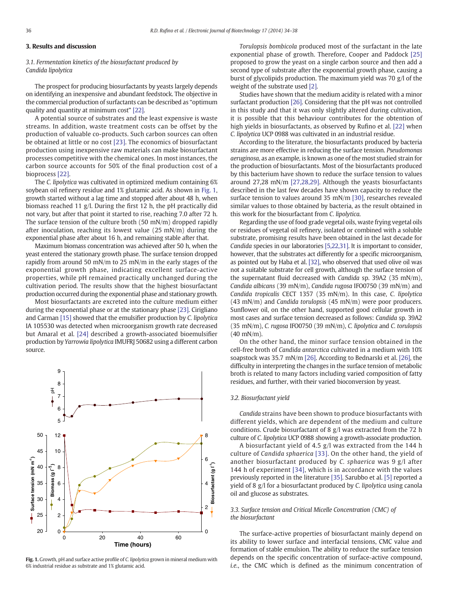### 3. Results and discussion

#### 3.1. Fermentation kinetics of the biosurfactant produced by Candida lipolytica

The prospect for producing biosurfactants by yeasts largely depends on identifying an inexpensive and abundant feedstock. The objective in the commercial production of surfactants can be described as "optimum quality and quantity at minimum cost" [\[22\]](#page-4-0).

A potential source of substrates and the least expensive is waste streams. In addition, waste treatment costs can be offset by the production of valuable co-products. Such carbon sources can often be obtained at little or no cost [\[23\].](#page-4-0) The economics of biosurfactant production using inexpensive raw materials can make biosurfactant processes competitive with the chemical ones. In most instances, the carbon source accounts for 50% of the final production cost of a bioprocess [\[22\]](#page-4-0).

The C. lipolytica was cultivated in optimized medium containing 6% soybean oil refinery residue and 1% glutamic acid. As shown in Fig. 1, growth started without a lag time and stopped after about 48 h, when biomass reached 11 g/l. During the first 12 h, the pH practically did not vary, but after that point it started to rise, reaching 7.0 after 72 h. The surface tension of the culture broth (50 mN/m) dropped rapidly after inoculation, reaching its lowest value (25 mN/m) during the exponential phase after about 16 h, and remaining stable after that.

Maximum biomass concentration was achieved after 50 h, when the yeast entered the stationary growth phase. The surface tension dropped rapidly from around 50 mN/m to 25 mN/m in the early stages of the exponential growth phase, indicating excellent surface-active properties, while pH remained practically unchanged during the cultivation period. The results show that the highest biosurfactant production occurred during the exponential phase and stationary growth.

Most biosurfactants are excreted into the culture medium either during the exponential phase or at the stationary phase [\[23\].](#page-4-0) Cirigliano and Carman [\[15\]](#page-4-0) showed that the emulsifier production by C. lipolytica IA 105530 was detected when microorganism growth rate decreased but Amaral et al. [\[24\]](#page-4-0) described a growth-associated bioemulsifier production by Yarrowia lipolytica IMUFRJ 50682 using a different carbon source.



Fig. 1. Growth, pH and surface active profile of C. lipolytica grown in mineral medium with 6% industrial residue as substrate and 1% glutamic acid.

Torulopsis bombicola produced most of the surfactant in the late exponential phase of growth. Therefore, Cooper and Paddock [\[25\]](#page-4-0) proposed to grow the yeast on a single carbon source and then add a second type of substrate after the exponential growth phase, causing a burst of glycolipids production. The maximum yield was 70 g/l of the weight of the substrate used [\[2\].](#page-3-0)

Studies have shown that the medium acidity is related with a minor surfactant production [\[26\]](#page-4-0). Considering that the pH was not controlled in this study and that it was only slightly altered during cultivation, it is possible that this behaviour contributes for the obtention of high yields in biosurfactants, as observed by Rufino et al. [\[22\]](#page-4-0) when C. lipolytica UCP 0988 was cultivated in an industrial residue.

According to the literature, the biosurfactants produced by bacteria strains are more effective in reducing the surface tension. Pseudomonas aeruginosa, as an example, is known as one of the most studied strain for the production of biosurfactants. Most of the biosurfactants produced by this bacterium have shown to reduce the surface tension to values around 27,28 mN/m [\[27,28,29\].](#page-4-0) Although the yeasts biosurfactants described in the last few decades have shown capacity to reduce the surface tension to values around 35 mN/m [\[30\]](#page-4-0), researches revealed similar values to those obtained by bacteria, as the result obtained in this work for the biosurfactant from C. lipolytica.

Regarding the use of food grade vegetal oils, waste frying vegetal oils or residues of vegetal oil refinery, isolated or combined with a soluble substrate, promising results have been obtained in the last decade for Candida species in our laboratories [\[5,22,31\]](#page-4-0). It is important to consider, however, that the substrates act differently for a specific microorganism, as pointed out by Haba et al. [\[32\]](#page-4-0), who observed that used olive oil was not a suitable substrate for cell growth, although the surface tension of the supernatant fluid decreased with Candida sp. 39A2 (35 mN/m), Candida albicans (39 mN/m), Candida rugosa IFO0750 (39 mN/m) and Candida tropicalis CECT 1357 (35 mN/m). In this case, C. lipolytica (43 mN/m) and Candida torulopsis (45 mN/m) were poor producers. Sunflower oil, on the other hand, supported good cellular growth in most cases and surface tension decreased as follows: Candida sp. 39A2 (35 mN/m), C. rugosa IFO0750 (39 mN/m), C. lipolytica and C. torulopsis  $(40 \text{ mN/m})$ .

On the other hand, the minor surface tension obtained in the cell-free broth of Candida antarctica cultivated in a medium with 10% soapstock was 35.7 mN/m [\[26\]](#page-4-0). According to Bednarski et al. [\[26\]](#page-4-0), the difficulty in interpreting the changes in the surface tension of metabolic broth is related to many factors including varied composition of fatty residues, and further, with their varied bioconversion by yeast.

#### 3.2. Biosurfactant yield

Candida strains have been shown to produce biosurfactants with different yields, which are dependent of the medium and culture conditions. Crude biosurfactant of 8 g/l was extracted from the 72 h culture of C. lipolytica UCP 0988 showing a growth-associate production.

A biosurfactant yield of 4.5 g/l was extracted from the 144 h culture of Candida sphaerica [\[33\].](#page-4-0) On the other hand, the yield of another biosurfactant produced by C. sphaerica was 9 g/l after 144 h of experiment [\[34\],](#page-4-0) which is in accordance with the values previously reported in the literature [\[35\]](#page-4-0). Sarubbo et al. [\[5\]](#page-4-0) reported a yield of 8 g/l for a biosurfactant produced by C. lipolytica using canola oil and glucose as substrates.

#### 3.3. Surface tension and Critical Micelle Concentration (CMC) of the biosurfactant

The surface-active properties of biosurfactant mainly depend on its ability to lower surface and interfacial tensions, CMC value and formation of stable emulsion. The ability to reduce the surface tension depends on the specific concentration of surface-active compound, i.e., the CMC which is defined as the minimum concentration of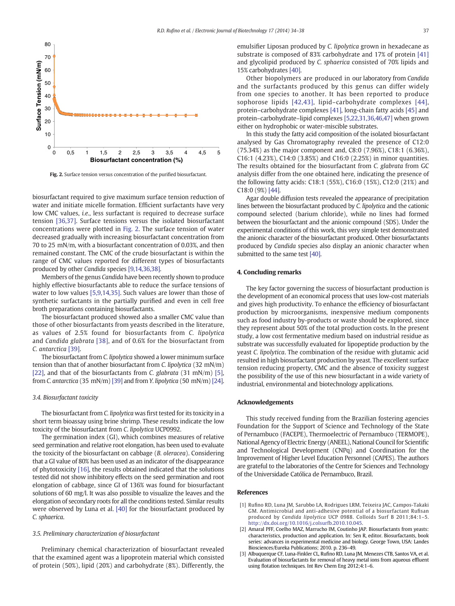<span id="page-3-0"></span>

Fig. 2. Surface tension versus concentration of the purified biosurfactant.

biosurfactant required to give maximum surface tension reduction of water and initiate micelle formation. Efficient surfactants have very low CMC values, i.e., less surfactant is required to decrease surface tension [\[36,37\]](#page-4-0). Surface tensions versus the isolated biosurfactant concentrations were plotted in Fig. 2. The surface tension of water decreased gradually with increasing biosurfactant concentration from 70 to 25 mN/m, with a biosurfactant concentration of 0.03%, and then remained constant. The CMC of the crude biosurfactant is within the range of CMC values reported for different types of biosurfactants produced by other Candida species [\[9,14,36,38\].](#page-4-0)

Members of the genus Candida have been recently shown to produce highly effective biosurfactants able to reduce the surface tensions of water to low values [\[5,9,14,35\]](#page-4-0). Such values are lower than those of synthetic surfactants in the partially purified and even in cell free broth preparations containing biosurfactants.

The biosurfactant produced showed also a smaller CMC value than those of other biosurfactants from yeasts described in the literature, as values of 2.5% found for biosurfactants from C. lipolytica and Candida glabrata [\[38\],](#page-4-0) and of 0.6% for the biosurfactant from C. antarctica [\[39\]](#page-4-0).

The biosurfactant from C. lipolytica showed a lower minimum surface tension than that of another biosurfactant from C. lipolytica (32 mN/m) [\[22\]](#page-4-0), and that of the biosurfactants from C. glabrata (31 mN/m) [\[5\],](#page-4-0) from C. antarctica (35 mN/m) [\[39\]](#page-4-0) and from Y. lipolytica (50 mN/m) [\[24\].](#page-4-0)

#### 3.4. Biosurfactant toxicity

The biosurfactant from C. lipolytica was first tested for its toxicity in a short term bioassay using brine shrimp. These results indicate the low toxicity of the biosurfactant from C. lipolytica UCP0992.

The germination index (GI), which combines measures of relative seed germination and relative root elongation, has been used to evaluate the toxicity of the biosurfactant on cabbage (B. oleracea). Considering that a GI value of 80% has been used as an indicator of the disappearance of phytotoxicity [\[16\],](#page-4-0) the results obtained indicated that the solutions tested did not show inhibitory effects on the seed germination and root elongation of cabbage, since GI of 136% was found for biosurfactant solutions of 60 mg/l. It was also possible to visualize the leaves and the elongation of secondary roots for all the conditions tested. Similar results were observed by Luna et al. [\[40\]](#page-4-0) for the biosurfactant produced by C. sphaerica.

#### 3.5. Preliminary characterization of biosurfactant

Preliminary chemical characterization of biosurfactant revealed that the examined agent was a lipoprotein material which consisted of protein (50%), lipid (20%) and carbohydrate (8%). Differently, the emulsifier Liposan produced by C. lipolytica grown in hexadecane as substrate is composed of 83% carbohydrate and 17% of protein [\[41\]](#page-4-0) and glycolipid produced by C. sphaerica consisted of 70% lipids and 15% carbohydrates [\[40\]](#page-4-0).

Other biopolymers are produced in our laboratory from Candida and the surfactants produced by this genus can differ widely from one species to another. It has been reported to produce sophorose lipids [\[42,43\]](#page-4-0), lipid–carbohydrate complexes [\[44\],](#page-4-0) protein–carbohydrate complexes [\[41\],](#page-4-0) long-chain fatty acids [\[45\]](#page-4-0) and protein–carbohydrate–lipid complexes [\[5,22,31,36,46,47\]](#page-4-0) when grown either on hydrophobic or water-miscible substrates.

In this study the fatty acid composition of the isolated biosurfactant analysed by Gas Chromatography revealed the presence of C12:0 (75.34%) as the major component and, C8:0 (7.96%), C18:1 (6.36%), C16:1 (4.23%), C14:0 (3.85%) and C16:0 (2.25%) in minor quantities. The results obtained for the biosurfactant from C. glabrata from GC analysis differ from the one obtained here, indicating the presence of the following fatty acids: C18:1 (55%), C16:0 (15%), C12:0 (21%) and C18:0 (9%) [\[44\].](#page-4-0)

Agar double diffusion tests revealed the appearance of precipitation lines between the biosurfactant produced by C. lipolytica and the cationic compound selected (barium chloride), while no lines had formed between the biosurfactant and the anionic compound (SDS). Under the experimental conditions of this work, this very simple test demonstrated the anionic character of the biosurfactant produced. Other biosurfactants produced by Candida species also display an anionic character when submitted to the same test [\[40\]](#page-4-0).

#### 4. Concluding remarks

The key factor governing the success of biosurfactant production is the development of an economical process that uses low-cost materials and gives high productivity. To enhance the efficiency of biosurfactant production by microorganisms, inexpensive medium components such as food industry by-products or waste should be explored, since they represent about 50% of the total production costs. In the present study, a low cost fermentative medium based on industrial residue as substrate was successfully evaluated for lipopeptide production by the yeast C. lipolytica. The combination of the residue with glutamic acid resulted in high biosurfactant production by yeast. The excellent surface tension reducing property, CMC and the absence of toxicity suggest the possibility of the use of this new biosurfactant in a wide variety of industrial, environmental and biotechnology applications.

#### Acknowledgements

This study received funding from the Brazilian fostering agencies Foundation for the Support of Science and Technology of the State of Pernambuco (FACEPE), Thermoelectric of Pernambuco (TERMOPE), National Agency of Electric Energy (ANEEL), National Council for Scientific and Technological Development (CNPq) and Coordination for the Improvement of Higher Level Education Personnel (CAPES). The authors are grateful to the laboratories of the Centre for Sciences and Technology of the Universidade Católica de Pernambuco, Brazil.

#### References

- [1] Rufino RD, Luna JM, Sarubbo LA, Rodrigues LRM, Teixeira JAC, Campos-Takaki GM. Antimicrobial and anti-adhesive potential of a biosurfactant Rufisan produced by Candida lipolytica UCP 0988. Colloids Surf B 2011;84:1-5. http://dx.doi.org/10.1016/j.colsurfb.2010.10.045.
- [2] [Amaral PFF, Coelho MAZ, Marrucho IM, Coutinho JAP. Biosurfactants from yeasts:](http://refhub.elsevier.com/S0717-3458(13)00007-9/rf0010) [characteristics, production and application. In: Sen R, editor. Biosurfactants, book](http://refhub.elsevier.com/S0717-3458(13)00007-9/rf0010) [series: advances in experimental medicine and biology. George Town, USA: Landes](http://refhub.elsevier.com/S0717-3458(13)00007-9/rf0010) [Biosciences/Eureka Publications; 2010. p. 236](http://refhub.elsevier.com/S0717-3458(13)00007-9/rf0010)–49.
- [3] Albuquerque CF, Luna-Finkler CL, Rufi[no RD, Luna JM, Menezes CTB, Santos VA, et al.](http://refhub.elsevier.com/S0717-3458(13)00007-9/rf0015) [Evaluation of biosurfactants for removal of heavy metal ions from aqueous ef](http://refhub.elsevier.com/S0717-3458(13)00007-9/rf0015)fluent using fl[otation techniques. Int Rev Chem Eng 2012;4:1](http://refhub.elsevier.com/S0717-3458(13)00007-9/rf0015)–6.